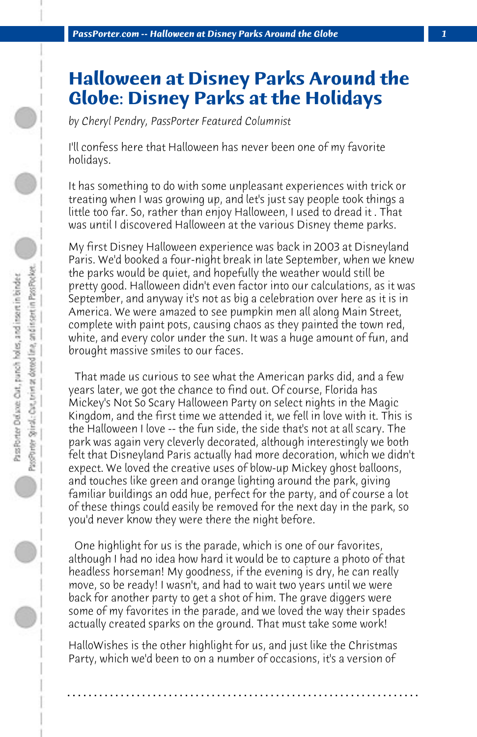## **Halloween at Disney Parks Around the Globe: Disney Parks at the Holidays**

*by Cheryl Pendry, PassPorter Featured Columnist*

I'll confess here that Halloween has never been one of my favorite holidays.

It has something to do with some unpleasant experiences with trick or treating when I was growing up, and let's just say people took things a little too far. So, rather than enjoy Halloween, I used to dread it . That was until I discovered Halloween at the various Disney theme parks.

My first Disney Halloween experience was back in 2003 at Disneyland Paris. We'd booked a four-night break in late September, when we knew the parks would be quiet, and hopefully the weather would still be pretty good. Halloween didn't even factor into our calculations, as it was September, and anyway it's not as big a celebration over here as it is in America. We were amazed to see pumpkin men all along Main Street, complete with paint pots, causing chaos as they painted the town red, white, and every color under the sun. It was a huge amount of fun, and brought massive smiles to our faces.

 That made us curious to see what the American parks did, and a few years later, we got the chance to find out. Of course, Florida has Mickey's Not So Scary Halloween Party on select nights in the Magic Kingdom, and the first time we attended it, we fell in love with it. This is the Halloween I love -- the fun side, the side that's not at all scary. The park was again very cleverly decorated, although interestingly we both felt that Disneyland Paris actually had more decoration, which we didn't expect. We loved the creative uses of blow-up Mickey ghost balloons, and touches like green and orange lighting around the park, giving familiar buildings an odd hue, perfect for the party, and of course a lot of these things could easily be removed for the next day in the park, so you'd never know they were there the night before.

 One highlight for us is the parade, which is one of our favorites, although I had no idea how hard it would be to capture a photo of that headless horseman! My goodness, if the evening is dry, he can really move, so be ready! I wasn't, and had to wait two years until we were back for another party to get a shot of him. The grave diggers were some of my favorites in the parade, and we loved the way their spades actually created sparks on the ground. That must take some work!

HalloWishes is the other highlight for us, and just like the Christmas Party, which we'd been to on a number of occasions, it's a version of

**. . . . . . . . . . . . . . . . . . . . . . . . . . . . . . . . . . . . . . . . . . . . . . . . . . . . . . . . . . . . . . . . . .**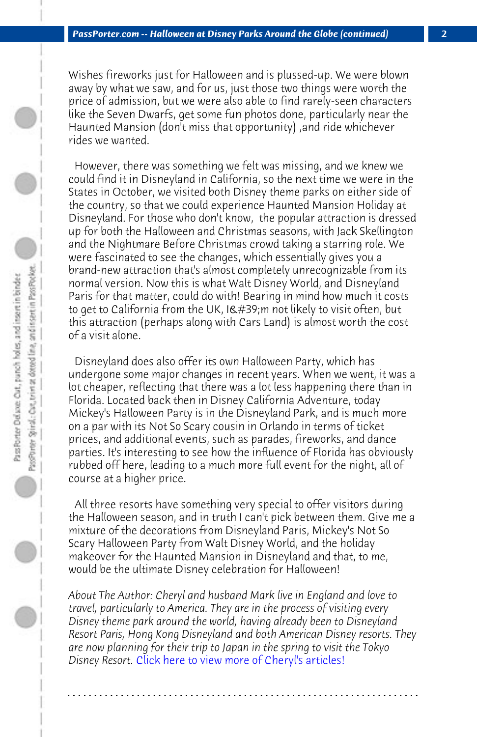*PassPorter.com -- Halloween at Disney Parks Around the Globe (continued) 2*

Wishes fireworks just for Halloween and is plussed-up. We were blown away by what we saw, and for us, just those two things were worth the price of admission, but we were also able to find rarely-seen characters like the Seven Dwarfs, get some fun photos done, particularly near the Haunted Mansion (don't miss that opportunity) ,and ride whichever rides we wanted.

 However, there was something we felt was missing, and we knew we could find it in Disneyland in California, so the next time we were in the States in October, we visited both Disney theme parks on either side of the country, so that we could experience Haunted Mansion Holiday at Disneyland. For those who don't know, the popular attraction is dressed up for both the Halloween and Christmas seasons, with Jack Skellington and the Nightmare Before Christmas crowd taking a starring role. We were fascinated to see the changes, which essentially gives you a brand-new attraction that's almost completely unrecognizable from its normal version. Now this is what Walt Disney World, and Disneyland Paris for that matter, could do with! Bearing in mind how much it costs to get to California from the UK, I'm not likely to visit often, but this attraction (perhaps along with Cars Land) is almost worth the cost of a visit alone.

 Disneyland does also offer its own Halloween Party, which has undergone some major changes in recent years. When we went, it was a lot cheaper, reflecting that there was a lot less happening there than in Florida. Located back then in Disney California Adventure, today Mickey's Halloween Party is in the Disneyland Park, and is much more on a par with its Not So Scary cousin in Orlando in terms of ticket prices, and ad[ditional events, such as parades, fireworks,](http://www.passporter.com/articles/cheryl-pendry-featured-columnist.asp) and dance parties. It's interesting to see how the influence of Florida has obviously rubbed off here, leading to a much more full event for the night, all of course at a higher price.

 All three resorts have something very special to offer visitors during the Halloween season, and in truth I can't pick between them. Give me a mixture of the decorations from Disneyland Paris, Mickey's Not So Scary Halloween Party from Walt Disney World, and the holiday makeover for the Haunted Mansion in Disneyland and that, to me, would be the ultimate Disney celebration for Halloween!

*About The Author: Cheryl and husband Mark live in England and love to travel, particularly to America. They are in the process of visiting every Disney theme park around the world, having already been to Disneyland Resort Paris, Hong Kong Disneyland and both American Disney resorts. They are now planning for their trip to Japan in the spring to visit the Tokyo Disney Resort.* Click here to view more of Cheryl's articles!

**. . . . . . . . . . . . . . . . . . . . . . . . . . . . . . . . . . . . . . . . . . . . . . . . . . . . . . . . . . . . . . . . . .**